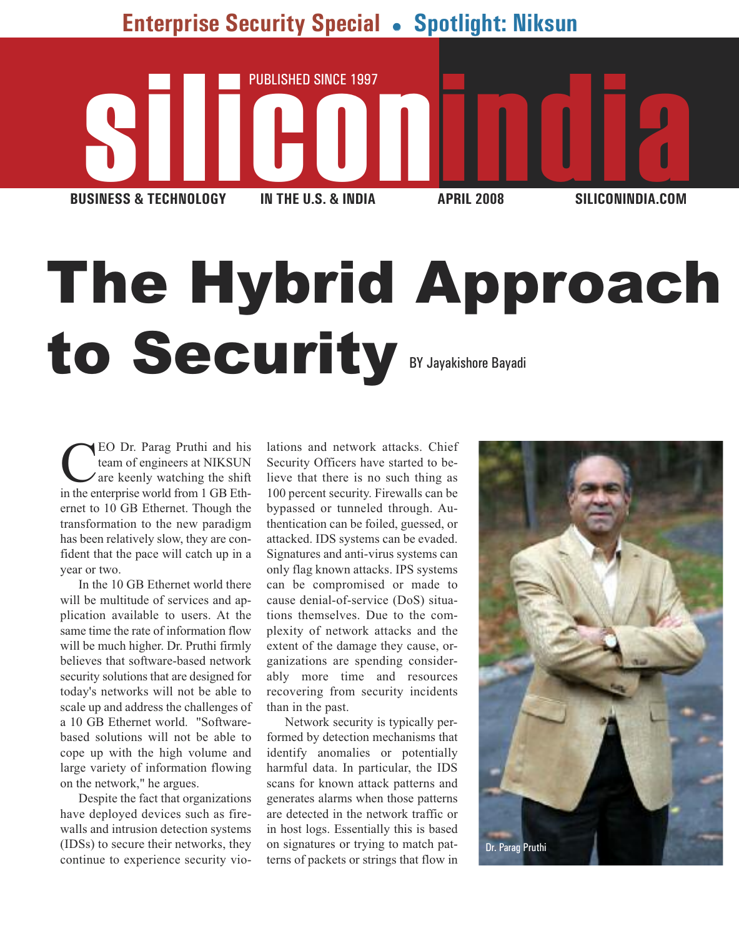**Enterprise Security Special** - **Spotlight: Niksun**



# The Hybrid Approach to Security BY Jayakishore Bayadi

CEO Dr. Parag Pruthi and his team of engineers at NIKSUN are keenly watching the shift in the enterprise world from 1 GB Ethernet to 10 GB Ethernet. Though the transformation to the new paradigm has been relatively slow, they are confident that the pace will catch up in a year or two.

In the 10 GB Ethernet world there will be multitude of services and application available to users. At the same time the rate of information flow will be much higher. Dr. Pruthi firmly believes that software-based network security solutions that are designed for today's networks will not be able to scale up and address the challenges of a 10 GB Ethernet world. "Softwarebased solutions will not be able to cope up with the high volume and large variety of information flowing on the network," he argues.

Despite the fact that organizations have deployed devices such as firewalls and intrusion detection systems (IDSs) to secure their networks, they continue to experience security violations and network attacks. Chief Security Officers have started to believe that there is no such thing as 100 percent security. Firewalls can be bypassed or tunneled through. Authentication can be foiled, guessed, or attacked. IDS systems can be evaded. Signatures and anti-virus systems can only flag known attacks. IPS systems can be compromised or made to cause denial-of-service (DoS) situations themselves. Due to the complexity of network attacks and the extent of the damage they cause, organizations are spending considerably more time and resources recovering from security incidents than in the past.

Network security is typically performed by detection mechanisms that identify anomalies or potentially harmful data. In particular, the IDS scans for known attack patterns and generates alarms when those patterns are detected in the network traffic or in host logs. Essentially this is based on signatures or trying to match patterns of packets or strings that flow in

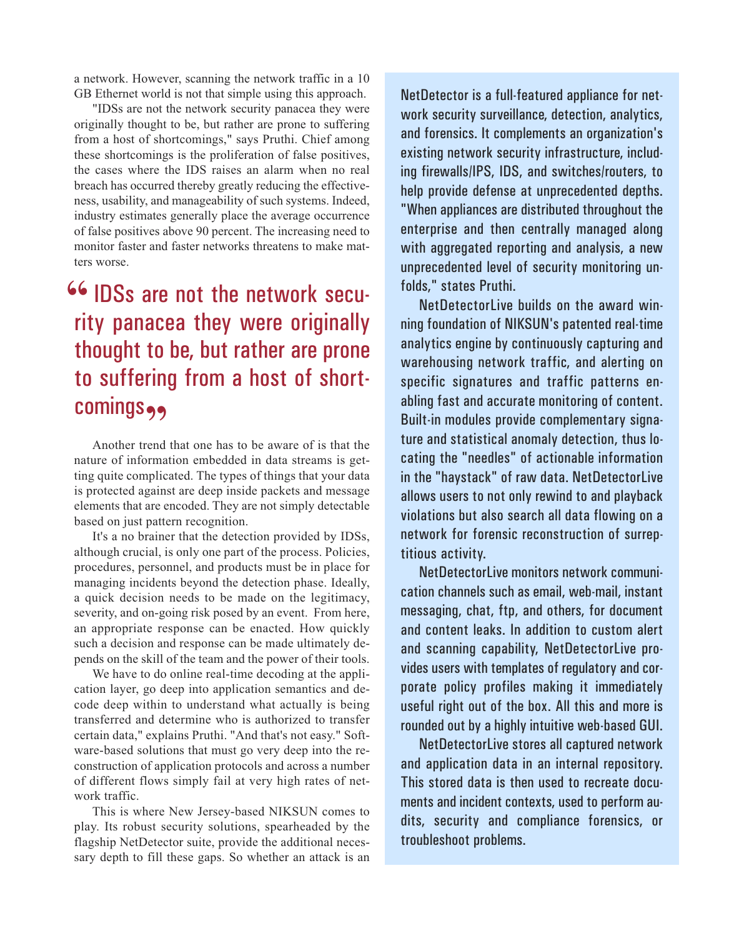a network. However, scanning the network traffic in a 10 GB Ethernet world is not that simple using this approach.

"IDSs are not the network security panacea they were originally thought to be, but rather are prone to suffering from a host of shortcomings," says Pruthi. Chief among these shortcomings is the proliferation of false positives, the cases where the IDS raises an alarm when no real breach has occurred thereby greatly reducing the effectiveness, usability, and manageability of such systems. Indeed, industry estimates generally place the average occurrence of false positives above 90 percent. The increasing need to monitor faster and faster networks threatens to make matters worse.

### **66 IDSs are not the network secu-**<br>**EXECUTE THE REFERENT SECUTION** rity panacea they were originally thought to be, but rather are prone to suffering from a host of shortcomings<sub>99</sub>

Another trend that one has to be aware of is that the nature of information embedded in data streams is getting quite complicated. The types of things that your data is protected against are deep inside packets and message elements that are encoded. They are not simply detectable based on just pattern recognition.

It's a no brainer that the detection provided by IDSs, although crucial, is only one part of the process. Policies, procedures, personnel, and products must be in place for managing incidents beyond the detection phase. Ideally, a quick decision needs to be made on the legitimacy, severity, and on-going risk posed by an event. From here, an appropriate response can be enacted. How quickly such a decision and response can be made ultimately depends on the skill of the team and the power of their tools.

We have to do online real-time decoding at the application layer, go deep into application semantics and decode deep within to understand what actually is being transferred and determine who is authorized to transfer certain data," explains Pruthi. "And that's not easy." Software-based solutions that must go very deep into the reconstruction of application protocols and across a number of different flows simply fail at very high rates of network traffic.

This is where New Jersey-based NIKSUN comes to play. Its robust security solutions, spearheaded by the flagship NetDetector suite, provide the additional necessary depth to fill these gaps. So whether an attack is an NetDetector is a full-featured appliance for network security surveillance, detection, analytics, and forensics. It complements an organization's existing network security infrastructure, including firewalls/IPS, IDS, and switches/routers, to help provide defense at unprecedented depths. "When appliances are distributed throughout the enterprise and then centrally managed along with aggregated reporting and analysis, a new unprecedented level of security monitoring unfolds," states Pruthi.

NetDetectorLive builds on the award winning foundation of NIKSUN's patented real-time analytics engine by continuously capturing and warehousing network traffic, and alerting on specific signatures and traffic patterns enabling fast and accurate monitoring of content. Built-in modules provide complementary signature and statistical anomaly detection, thus locating the "needles" of actionable information in the "haystack" of raw data. NetDetectorLive allows users to not only rewind to and playback violations but also search all data flowing on a network for forensic reconstruction of surreptitious activity.

NetDetectorLive monitors network communication channels such as email, web-mail, instant messaging, chat, ftp, and others, for document and content leaks. In addition to custom alert and scanning capability, NetDetectorLive provides users with templates of regulatory and corporate policy profiles making it immediately useful right out of the box. All this and more is rounded out by a highly intuitive web-based GUI.

NetDetectorLive stores all captured network and application data in an internal repository. This stored data is then used to recreate documents and incident contexts, used to perform audits, security and compliance forensics, or troubleshoot problems.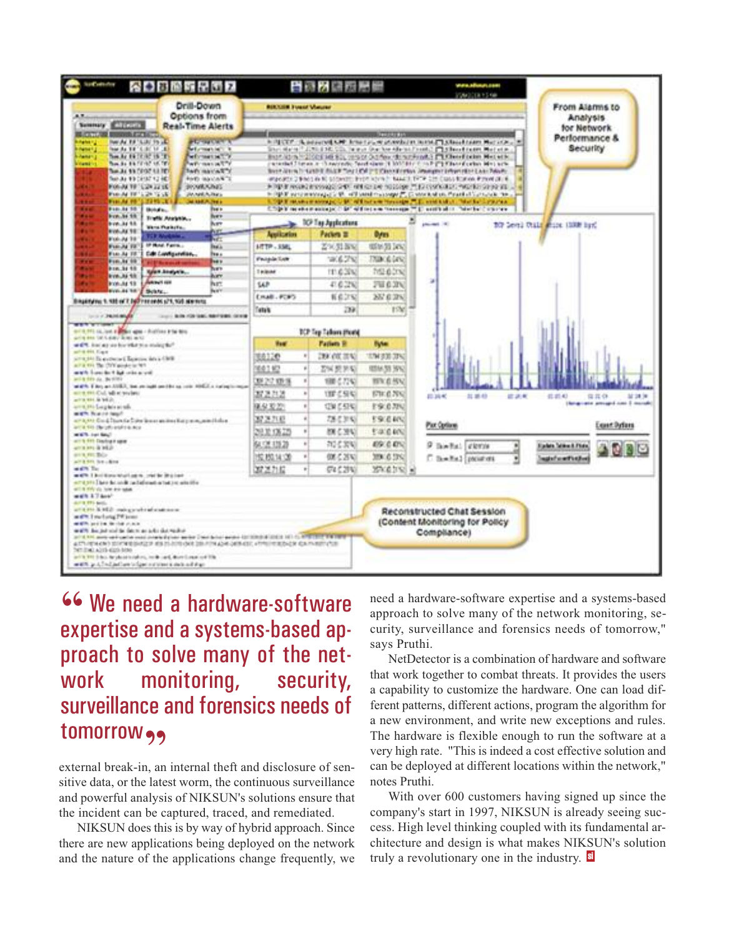

**46 We need a hardware-software**<br>expertise and a systems-hased anexpertise and a systems-based approach to solve many of the network monitoring, security, surveillance and forensics needs of **tomorrow**,

external break-in, an internal theft and disclosure of sensitive data, or the latest worm, the continuous surveillance and powerful analysis of NIKSUN's solutions ensure that the incident can be captured, traced, and remediated.

NIKSUN does this is by way of hybrid approach. Since there are new applications being deployed on the network and the nature of the applications change frequently, we need a hardware-software expertise and a systems-based approach to solve many of the network monitoring, security, surveillance and forensics needs of tomorrow," says Pruthi.

NetDetector is a combination of hardware and software that work together to combat threats. It provides the users a capability to customize the hardware. One can load different patterns, different actions, program the algorithm for a new environment, and write new exceptions and rules. The hardware is flexible enough to run the software at a very high rate. "This is indeed a cost effective solution and can be deployed at different locations within the network," notes Pruthi.

With over 600 customers having signed up since the company's start in 1997, NIKSUN is already seeing success. High level thinking coupled with its fundamental architecture and design is what makes NIKSUN's solution truly a revolutionary one in the industry.  $s$